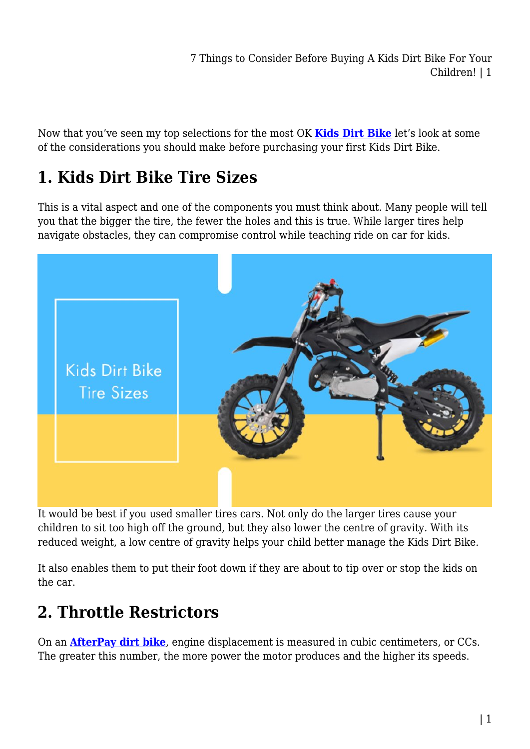7 Things to Consider Before Buying A Kids Dirt Bike For Your Children! | 1

Now that you've seen my top selections for the most OK **[Kids Dirt Bike](https://kidsrideoncar.com.au/dirt-bike/)** let's look at some of the considerations you should make before purchasing your first Kids Dirt Bike.

### **1. Kids Dirt Bike Tire Sizes**

This is a vital aspect and one of the components you must think about. Many people will tell you that the bigger the tire, the fewer the holes and this is true. While larger tires help navigate obstacles, they can compromise control while teaching ride on car for kids.



It would be best if you used smaller tires cars. Not only do the larger tires cause your children to sit too high off the ground, but they also lower the centre of gravity. With its reduced weight, a low centre of gravity helps your child better manage the Kids Dirt Bike.

It also enables them to put their foot down if they are about to tip over or stop the kids on the car.

### **2. Throttle Restrictors**

On an **[AfterPay dirt bike](https://kidsrideoncar.com.au/dirt-bike/)**, engine displacement is measured in cubic centimeters, or CCs. The greater this number, the more power the motor produces and the higher its speeds.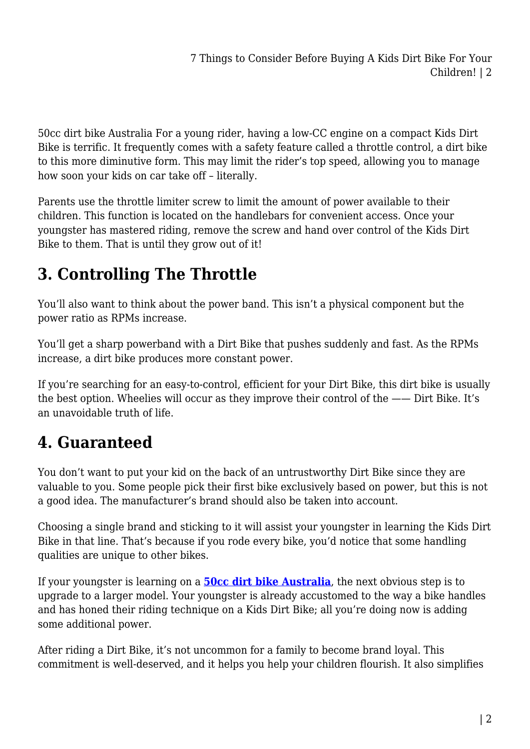50cc dirt bike Australia For a young rider, having a low-CC engine on a compact Kids Dirt Bike is terrific. It frequently comes with a safety feature called a throttle control, a dirt bike to this more diminutive form. This may limit the rider's top speed, allowing you to manage how soon your kids on car take off – literally.

Parents use the throttle limiter screw to limit the amount of power available to their children. This function is located on the handlebars for convenient access. Once your youngster has mastered riding, remove the screw and hand over control of the Kids Dirt Bike to them. That is until they grow out of it!

# **3. Controlling The Throttle**

You'll also want to think about the power band. This isn't a physical component but the power ratio as RPMs increase.

You'll get a sharp powerband with a Dirt Bike that pushes suddenly and fast. As the RPMs increase, a dirt bike produces more constant power.

If you're searching for an easy-to-control, efficient for your Dirt Bike, this dirt bike is usually the best option. Wheelies will occur as they improve their control of the —— Dirt Bike. It's an unavoidable truth of life.

### **4. Guaranteed**

You don't want to put your kid on the back of an untrustworthy Dirt Bike since they are valuable to you. Some people pick their first bike exclusively based on power, but this is not a good idea. The manufacturer's brand should also be taken into account.

Choosing a single brand and sticking to it will assist your youngster in learning the Kids Dirt Bike in that line. That's because if you rode every bike, you'd notice that some handling qualities are unique to other bikes.

If your youngster is learning on a **[50cc dirt bike Australia](https://kidsrideoncar.com.au/dirt-bike/50cc-dirt-bike/)**, the next obvious step is to upgrade to a larger model. Your youngster is already accustomed to the way a bike handles and has honed their riding technique on a Kids Dirt Bike; all you're doing now is adding some additional power.

After riding a Dirt Bike, it's not uncommon for a family to become brand loyal. This commitment is well-deserved, and it helps you help your children flourish. It also simplifies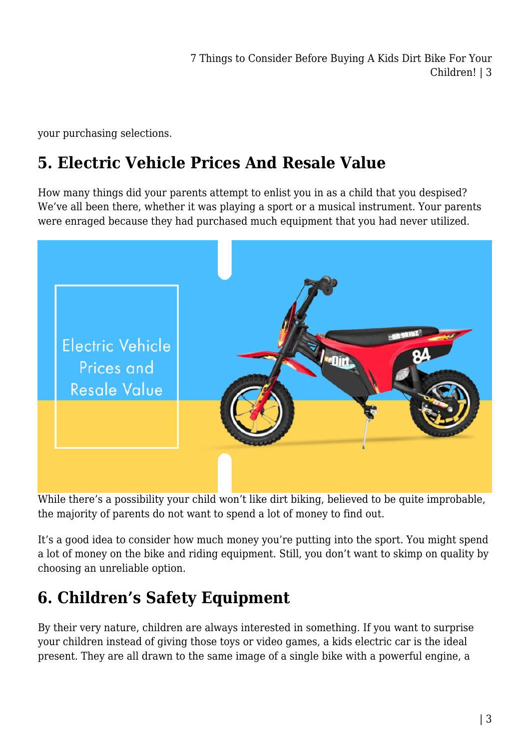7 Things to Consider Before Buying A Kids Dirt Bike For Your Children! | 3

your purchasing selections.

#### **5. Electric Vehicle Prices And Resale Value**

How many things did your parents attempt to enlist you in as a child that you despised? We've all been there, whether it was playing a sport or a musical instrument. Your parents were enraged because they had purchased much equipment that you had never utilized.



While there's a possibility your child won't like dirt biking, believed to be quite improbable, the majority of parents do not want to spend a lot of money to find out.

It's a good idea to consider how much money you're putting into the sport. You might spend a lot of money on the bike and riding equipment. Still, you don't want to skimp on quality by choosing an unreliable option.

### **6. Children's Safety Equipment**

By their very nature, children are always interested in something. If you want to surprise your children instead of giving those toys or video games, a kids electric car is the ideal present. They are all drawn to the same image of a single bike with a powerful engine, a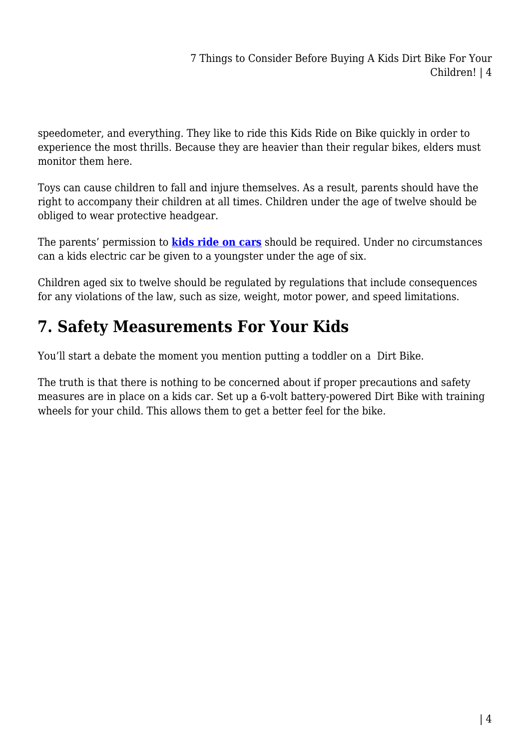speedometer, and everything. They like to ride this Kids Ride on Bike quickly in order to experience the most thrills. Because they are heavier than their regular bikes, elders must monitor them here.

Toys can cause children to fall and injure themselves. As a result, parents should have the right to accompany their children at all times. Children under the age of twelve should be obliged to wear protective headgear.

The parents' permission to **[kids ride on cars](https://kidsrideoncar.com.au/)** should be required. Under no circumstances can a kids electric car be given to a youngster under the age of six.

Children aged six to twelve should be regulated by regulations that include consequences for any violations of the law, such as size, weight, motor power, and speed limitations.

## **7. Safety Measurements For Your Kids**

You'll start a debate the moment you mention putting a toddler on a Dirt Bike.

The truth is that there is nothing to be concerned about if proper precautions and safety measures are in place on a kids car. Set up a 6-volt battery-powered Dirt Bike with training wheels for your child. This allows them to get a better feel for the bike.